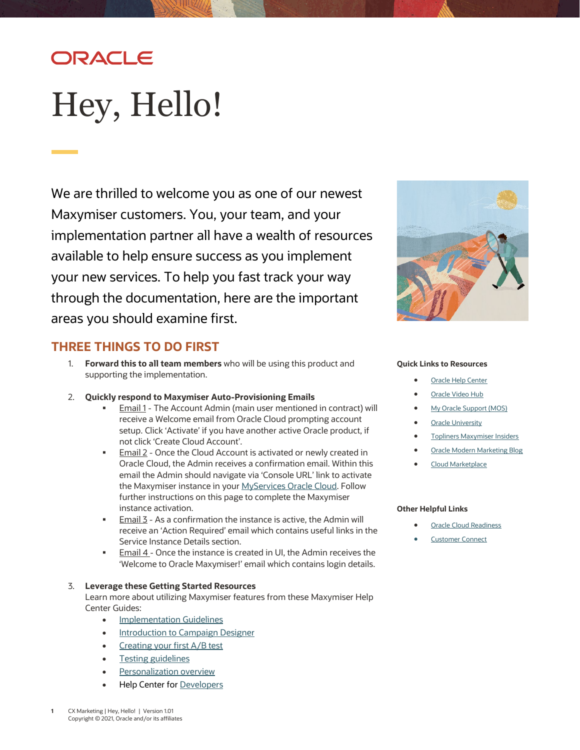# ORACLE

# <span id="page-0-0"></span>Hey, Hello!

We are thrilled to welcome you as one of our newest Maxymiser customers. You, your team, and your implementation partner all have a wealth of resources available to help ensure success as you implement your new services. To help you fast track your way through the documentation, here are the important areas you should examine first.

## **THREE THINGS TO DO FIRST**

- 1. **Forward this to all team members** who will be using this product and supporting the implementation.
- 2. **Quickly respond to Maxymiser Auto-Provisioning Emails**
	- Email 1 The Account Admin (main user mentioned in contract) will receive a Welcome email from Oracle Cloud prompting account setup. Click 'Activate' if you have another active Oracle product, if not click 'Create Cloud Account'.
	- Email 2 Once the Cloud Account is activated or newly created in Oracle Cloud, the Admin receives a confirmation email. Within this email the Admin should navigate via 'Console URL' link to activate the Maxymiser instance in you[r MyServices Oracle Cloud.](https://myservices.us.oraclecloud.com/mycloud/cloudportal/dashboard) Follow further instructions on this page to complete the Maxymiser instance activation.
	- **Email 3** As a confirmation the instance is active, the Admin will receive an 'Action Required' email which contains useful links in the Service Instance Details section.
	- Email 4 Once the instance is created in UI, the Admin receives the 'Welcome to Oracle Maxymiser!' email which contains login details.

#### 3. **Leverage these Getting Started Resources**

Learn more about utilizing Maxymiser features from these Maxymiser Help Center Guides:

- **[Implementation Guidelines](https://docs.oracle.com/en/cloud/saas/marketing/maxymiser-user/Content/A_Getting_Started/implementation_guidelines.htm)**
- [Introduction to Campaign Designer](https://docs.oracle.com/en/cloud/saas/marketing/maxymiser-user/Content/Campaign_Designer/campaign_designer_workspace.htm)
- [Creating your first A/B test](https://docs.oracle.com/en/cloud/saas/marketing/maxymiser-user/Content/Campaign_Designer/create_ab_campaign.htm)
- **[Testing guidelines](https://docs.oracle.com/en/cloud/saas/marketing/maxymiser-user/Content/Campaign_Performance_Report/testing_guidelines.htm)**
- **[Personalization overview](https://docs.oracle.com/en/cloud/saas/marketing/maxymiser-user/Content/Personalization/max_cpr_overview_of_personalization.htm)**
- Help Center for [Developers](https://docs.oracle.com/en/cloud/saas/marketing/maxymiser-developers-help/index.html)



#### **Quick Links to Resources**

- **[Oracle Help Center](https://docs.oracle.com/en/cloud/saas/marketing/maxymiser-user/Content/index.htm)**
- **[Oracle Video Hub](https://videohub.oracle.com/tag/tagid/maxymiser)**
- [My Oracle Support \(MOS\)](https://support.oracle.com/)
- **[Oracle University](https://learn.oracle.com/ols/home/37002#filtersGroup1=&filtersGroup2=&filtersGroup3=&filtersGroup4=&filtersGroup5=&filtersGroup6=&filtersGroup7=&filtersSearch=)**
- [Topliners Maxymiser](https://community.oracle.com/topliners/group/5169-maxymiser-insiders) Insiders
- [Oracle Modern Marketing Blog](https://blogs.oracle.com/marketingcloud/)
- [Cloud Marketplace](https://cloudmarketplace.oracle.com/marketplace/product/marketing)

#### **Other Helpful Links**

- **[Oracle Cloud Readiness](https://www.oracle.com/webfolder/technetwork/tutorials/tutorial/readiness/offering.html?offering=marketing-maxymiser-21)**
- **[Customer Connect](https://community.oracle.com/customerconnect/)**

**1** CX Marketing [| Hey, Hello!](#page-0-0) | Version 1.01 Copyright © 2021, Oracle and/or its affiliates